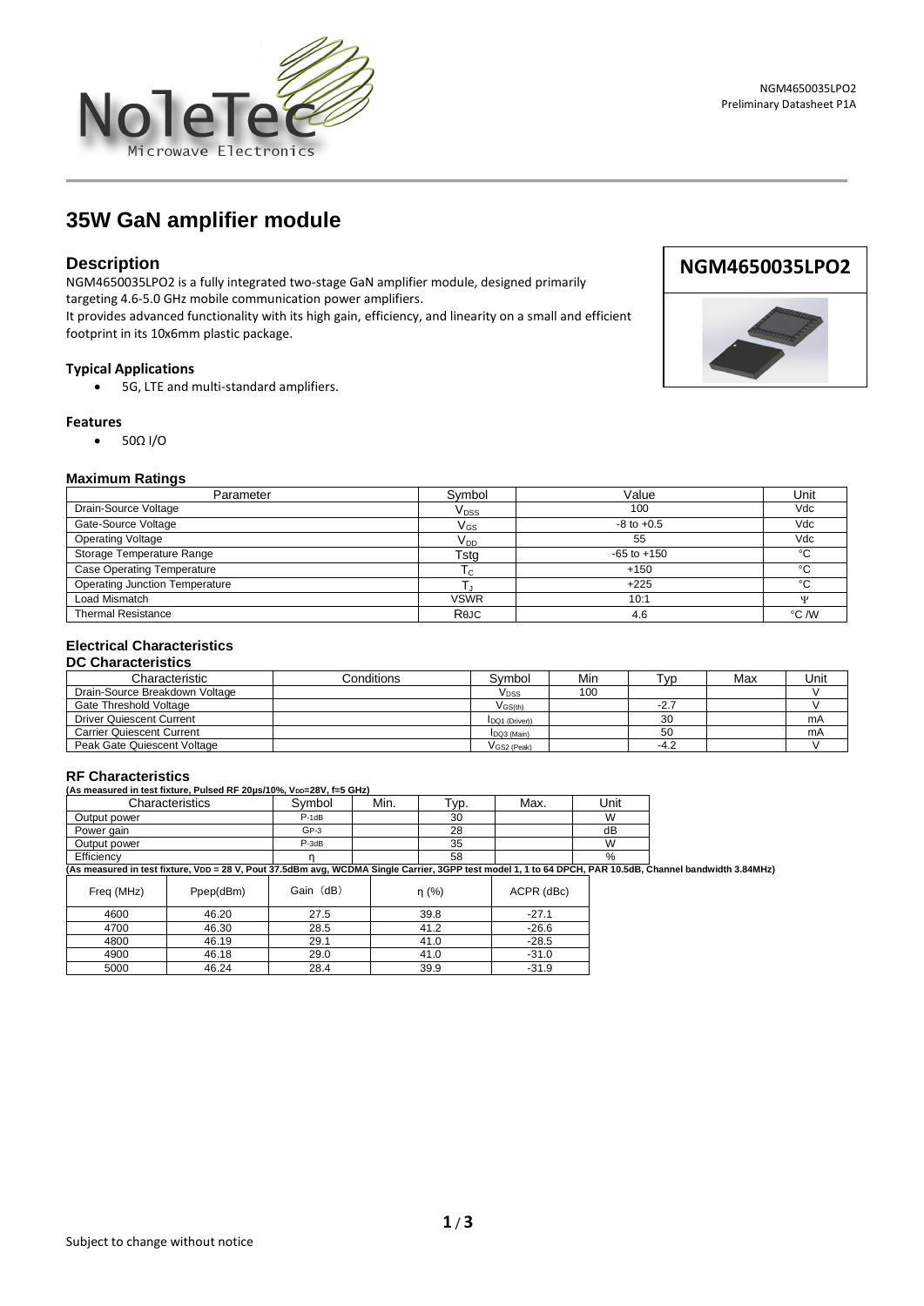

**1** / **3**



# **35W GaN amplifier module**

# **Description**

NGM4650035LPO2 is a fully integrated two-stage GaN amplifier module, designed primarily targeting 4.6-5.0 GHz mobile communication power amplifiers.

It provides advanced functionality with its high gain, efficiency, and linearity on a small and efficient footprint in its 10x6mm plastic package.

### **Typical Applications**

• 5G, LTE and multi-standard amplifiers.

#### **Features**

• 50Ω I/O

#### **Maximum Ratings**

| Parameter                             | Svmbol                      | Value           | Unit    |
|---------------------------------------|-----------------------------|-----------------|---------|
| Drain-Source Voltage                  | $\mathsf{V}_{\texttt{DSS}}$ | 100             | Vdc     |
| Gate-Source Voltage                   | $\mathsf{V}_{\mathsf{GS}}$  | $-8$ to $+0.5$  | Vdc     |
| <b>Operating Voltage</b>              | V <sub>DD</sub>             | 55              | Vdc     |
| Storage Temperature Range             | Tsta                        | $-65$ to $+150$ | $\sim$  |
| <b>Case Operating Temperature</b>     | I c                         | $+150$          | $\sim$  |
| <b>Operating Junction Temperature</b> |                             | $+225$          | $\circ$ |
| Load Mismatch                         | <b>VSWR</b>                 | 10:1            | ۱T      |
| <b>Thermal Resistance</b>             | ReJC                        | 4.6             | °C /W   |

## **Electrical Characteristics**

### **DC Characteristics**

| Characteristic                   | Conditions | Symbol                | Min | Tvp.   | Max | Jnit |
|----------------------------------|------------|-----------------------|-----|--------|-----|------|
| Drain-Source Breakdown Voltage   |            | V <sub>DSS</sub>      | 100 |        |     |      |
| Gate Threshold Voltage           |            | $V$ <sub>GS(th)</sub> |     | $-2.7$ |     |      |
| <b>Driver Quiescent Current</b>  |            | IDQ1 (Driver))        |     | 30     |     | mA   |
| <b>Carrier Quiescent Current</b> |            | DQ3 (Main)            |     | 50     |     | mA   |
| Peak Gate Quiescent Voltage      |            | VGS2 (Peak)           |     | $-4.2$ |     |      |

#### **RF Characteristics**

| <b>RE UNANGERISTICS</b>                                                          |         |      |                  |      |      |  |
|----------------------------------------------------------------------------------|---------|------|------------------|------|------|--|
| (As measured in test fixture, Pulsed RF 20µs/10%, V <sub>DD</sub> =28V, f=5 GHz) |         |      |                  |      |      |  |
| Characteristics                                                                  | Svmbol  | Min. | т <sub>ур.</sub> | Max. | Jnit |  |
| Output power                                                                     | $P-1dB$ |      | 30               |      | W    |  |
| Power gain                                                                       | $GP-3$  |      | 28               |      | dB   |  |
| Output power                                                                     | $P-3dB$ |      | 35               |      | W    |  |
| Efficiency                                                                       |         |      | 58               |      | %    |  |

Efficiency η 58 % **(As measured in test fixture, VDD = 28 V, Pout 37.5dBm avg, WCDMA Single Carrier, 3GPP test model 1, 1 to 64 DPCH, PAR 10.5dB, Channel bandwidth 3.84MHz)**

| Freq (MHz) | Ppep(dBm) | Gain (dB) | n(%) | ACPR (dBc) |
|------------|-----------|-----------|------|------------|
| 4600       | 46.20     | 27.5      | 39.8 | $-27.1$    |
| 4700       | 46.30     | 28.5      | 41.2 | $-26.6$    |
| 4800       | 46.19     | 29.1      | 41.0 | $-28.5$    |
| 4900       | 46.18     | 29.0      | 41.0 | $-31.0$    |
| 5000       | 46.24     | 28.4      | 39.9 | $-31.9$    |



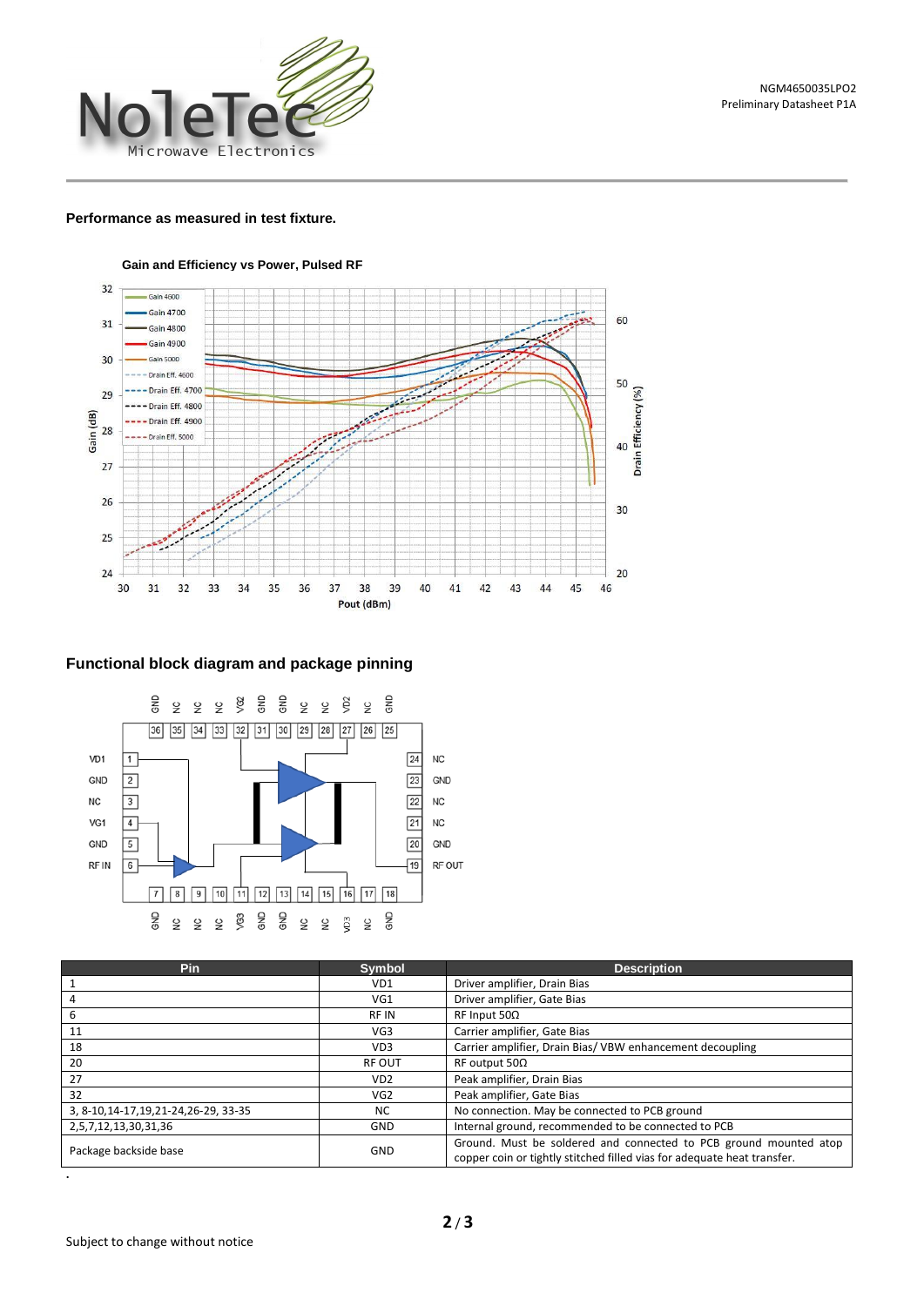

### **Performance as measured in test fixture.**



**Gain and Efficiency vs Power, Pulsed RF**

## **Functional block diagram and package pinning**



| <b>Pin</b>                              | <b>Symbol</b>   | <b>Description</b>                                                                                                                           |  |
|-----------------------------------------|-----------------|----------------------------------------------------------------------------------------------------------------------------------------------|--|
|                                         | VD1             | Driver amplifier, Drain Bias                                                                                                                 |  |
|                                         | VG1             | Driver amplifier, Gate Bias                                                                                                                  |  |
| h                                       | <b>RFIN</b>     | $RF$ Input 50 $\Omega$                                                                                                                       |  |
| 11                                      | VG <sub>3</sub> | Carrier amplifier, Gate Bias                                                                                                                 |  |
| 18                                      | VD <sub>3</sub> | Carrier amplifier, Drain Bias/VBW enhancement decoupling                                                                                     |  |
| 20                                      | <b>RF OUT</b>   | RF output 50Ω                                                                                                                                |  |
| 27                                      | VD <sub>2</sub> | Peak amplifier, Drain Bias                                                                                                                   |  |
| 32                                      | VG <sub>2</sub> | Peak amplifier, Gate Bias                                                                                                                    |  |
| 3, 8-10, 14-17, 19, 21-24, 26-29, 33-35 | NC.             | No connection. May be connected to PCB ground                                                                                                |  |
| 2,5,7,12,13,30,31,36                    | <b>GND</b>      | Internal ground, recommended to be connected to PCB                                                                                          |  |
| Package backside base                   | <b>GND</b>      | Ground. Must be soldered and connected to PCB ground mounted atop<br>copper coin or tightly stitched filled vias for adequate heat transfer. |  |

**.**